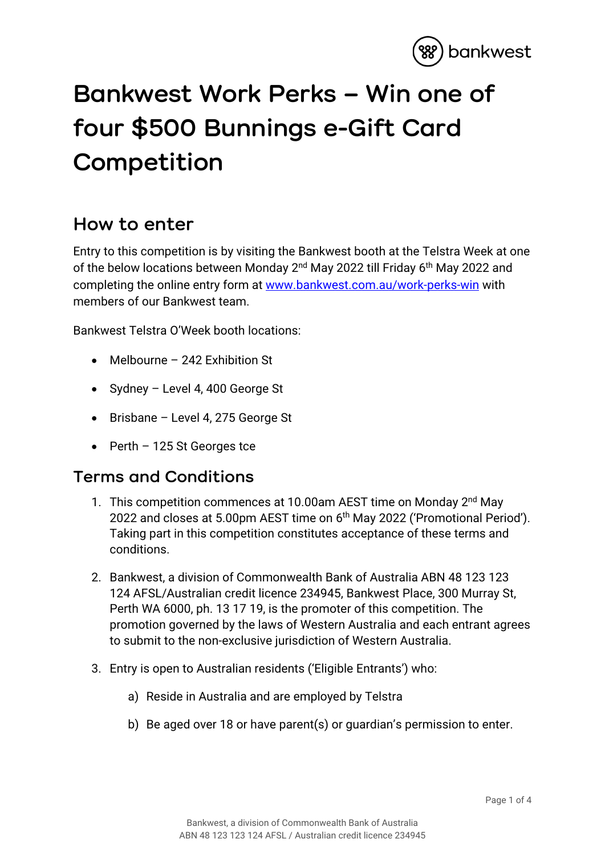

## **Bankwest Work Perks – Win one of four \$500 Bunnings e-Gift Card Competition**

## **How to enter**

Entry to this competition is by visiting the Bankwest booth at the Telstra Week at one of the below locations between Monday 2<sup>nd</sup> May 2022 till Friday 6<sup>th</sup> May 2022 and completing the online entry form at [www.bankwest.com.au/work-perks-win](http://www.bankwest.com.au/work-perks-win) with members of our Bankwest team.

Bankwest Telstra O'Week booth locations:

- Melbourne 242 Exhibition St
- Sydney Level 4, 400 George St
- Brisbane Level 4, 275 George St
- Perth 125 St Georges tce

## **Terms and Conditions**

- 1. This competition commences at 10.00am AEST time on Monday 2<sup>nd</sup> May 2022 and closes at 5.00pm AEST time on 6<sup>th</sup> May 2022 ('Promotional Period'). Taking part in this competition constitutes acceptance of these terms and conditions.
- 2. Bankwest, a division of Commonwealth Bank of Australia ABN 48 123 123 124 AFSL/Australian credit licence 234945, Bankwest Place, 300 Murray St, Perth WA 6000, ph. 13 17 19, is the promoter of this competition. The promotion governed by the laws of Western Australia and each entrant agrees to submit to the non-exclusive jurisdiction of Western Australia.
- 3. Entry is open to Australian residents ('Eligible Entrants') who:
	- a) Reside in Australia and are employed by Telstra
	- b) Be aged over 18 or have parent(s) or guardian's permission to enter.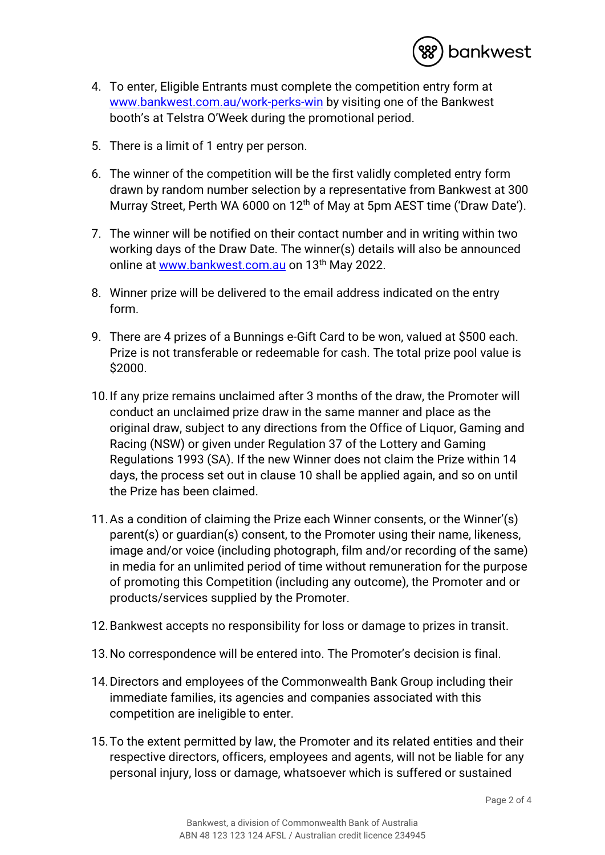

- 4. To enter, Eligible Entrants must complete the competition entry form at [www.bankwest.com.au/work-perks-win](http://www.bankwest.com.au/work-perks-win) by visiting one of the Bankwest booth's at Telstra O'Week during the promotional period.
- 5. There is a limit of 1 entry per person.
- 6. The winner of the competition will be the first validly completed entry form drawn by random number selection by a representative from Bankwest at 300 Murray Street, Perth WA 6000 on 12<sup>th</sup> of May at 5pm AEST time ('Draw Date').
- 7. The winner will be notified on their contact number and in writing within two working days of the Draw Date. The winner(s) details will also be announced online at [www.bankwest.com.au](http://www.bankwest.com.au/) on 13<sup>th</sup> May 2022.
- 8. Winner prize will be delivered to the email address indicated on the entry form.
- 9. There are 4 prizes of a Bunnings e-Gift Card to be won, valued at \$500 each. Prize is not transferable or redeemable for cash. The total prize pool value is \$2000.
- 10.If any prize remains unclaimed after 3 months of the draw, the Promoter will conduct an unclaimed prize draw in the same manner and place as the original draw, subject to any directions from the Office of Liquor, Gaming and Racing (NSW) or given under Regulation 37 of the Lottery and Gaming Regulations 1993 (SA). If the new Winner does not claim the Prize within 14 days, the process set out in clause 10 shall be applied again, and so on until the Prize has been claimed.
- 11.As a condition of claiming the Prize each Winner consents, or the Winner'(s) parent(s) or guardian(s) consent, to the Promoter using their name, likeness, image and/or voice (including photograph, film and/or recording of the same) in media for an unlimited period of time without remuneration for the purpose of promoting this Competition (including any outcome), the Promoter and or products/services supplied by the Promoter.
- 12.Bankwest accepts no responsibility for loss or damage to prizes in transit.
- 13.No correspondence will be entered into. The Promoter's decision is final.
- 14.Directors and employees of the Commonwealth Bank Group including their immediate families, its agencies and companies associated with this competition are ineligible to enter.
- 15.To the extent permitted by law, the Promoter and its related entities and their respective directors, officers, employees and agents, will not be liable for any personal injury, loss or damage, whatsoever which is suffered or sustained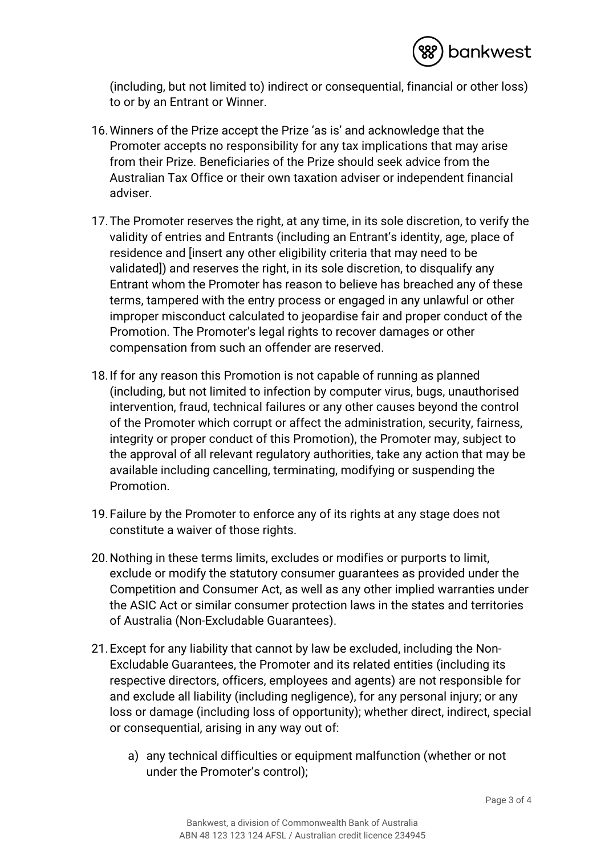

(including, but not limited to) indirect or consequential, financial or other loss) to or by an Entrant or Winner.

- 16.Winners of the Prize accept the Prize 'as is' and acknowledge that the Promoter accepts no responsibility for any tax implications that may arise from their Prize. Beneficiaries of the Prize should seek advice from the Australian Tax Office or their own taxation adviser or independent financial adviser.
- 17.The Promoter reserves the right, at any time, in its sole discretion, to verify the validity of entries and Entrants (including an Entrant's identity, age, place of residence and [insert any other eligibility criteria that may need to be validated]) and reserves the right, in its sole discretion, to disqualify any Entrant whom the Promoter has reason to believe has breached any of these terms, tampered with the entry process or engaged in any unlawful or other improper misconduct calculated to jeopardise fair and proper conduct of the Promotion. The Promoter's legal rights to recover damages or other compensation from such an offender are reserved.
- 18.If for any reason this Promotion is not capable of running as planned (including, but not limited to infection by computer virus, bugs, unauthorised intervention, fraud, technical failures or any other causes beyond the control of the Promoter which corrupt or affect the administration, security, fairness, integrity or proper conduct of this Promotion), the Promoter may, subject to the approval of all relevant regulatory authorities, take any action that may be available including cancelling, terminating, modifying or suspending the Promotion.
- 19.Failure by the Promoter to enforce any of its rights at any stage does not constitute a waiver of those rights.
- 20.Nothing in these terms limits, excludes or modifies or purports to limit, exclude or modify the statutory consumer guarantees as provided under the Competition and Consumer Act, as well as any other implied warranties under the ASIC Act or similar consumer protection laws in the states and territories of Australia (Non-Excludable Guarantees).
- 21.Except for any liability that cannot by law be excluded, including the Non-Excludable Guarantees, the Promoter and its related entities (including its respective directors, officers, employees and agents) are not responsible for and exclude all liability (including negligence), for any personal injury; or any loss or damage (including loss of opportunity); whether direct, indirect, special or consequential, arising in any way out of:
	- a) any technical difficulties or equipment malfunction (whether or not under the Promoter's control);